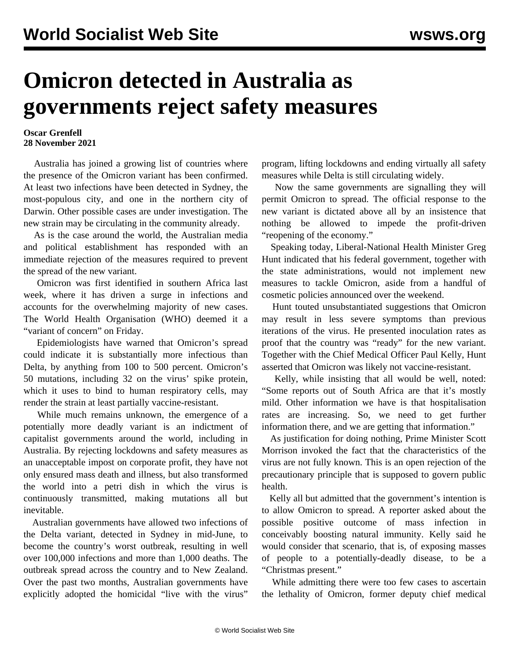## **Omicron detected in Australia as governments reject safety measures**

## **Oscar Grenfell 28 November 2021**

 Australia has joined a growing list of countries where the presence of the Omicron variant has been confirmed. At least two infections have been detected in Sydney, the most-populous city, and one in the northern city of Darwin. Other possible cases are under investigation. The new strain may be circulating in the community already.

 As is the case around the world, the Australian media and political establishment has responded with an immediate rejection of the measures required to prevent the spread of the new variant.

 Omicron was first identified in southern Africa last week, where it has driven a surge in infections and accounts for the overwhelming majority of new cases. The World Health Organisation (WHO) deemed it a "variant of concern" on Friday.

 Epidemiologists have warned that Omicron's spread could indicate it is substantially more infectious than Delta, by anything from 100 to 500 percent. Omicron's 50 mutations, including 32 on the virus' spike protein, which it uses to bind to human respiratory cells, may render the strain at least partially vaccine-resistant.

 While much remains unknown, the emergence of a potentially more deadly variant is an indictment of capitalist governments around the world, including in Australia. By rejecting lockdowns and safety measures as an unacceptable impost on corporate profit, they have not only ensured mass death and illness, but also transformed the world into a petri dish in which the virus is continuously transmitted, making mutations all but inevitable.

 Australian governments have allowed two infections of the Delta variant, detected in Sydney in mid-June, to become the country's worst outbreak, resulting in well over 100,000 infections and more than 1,000 deaths. The outbreak spread across the country and to New Zealand. Over the past two months, Australian governments have explicitly adopted the homicidal "live with the virus"

program, lifting lockdowns and ending virtually all safety measures while Delta is still circulating widely.

 Now the same governments are signalling they will permit Omicron to spread. The official response to the new variant is dictated above all by an insistence that nothing be allowed to impede the profit-driven "reopening of the economy."

 Speaking today, Liberal-National Health Minister Greg Hunt indicated that his federal government, together with the state administrations, would not implement new measures to tackle Omicron, aside from a handful of cosmetic policies announced over the weekend.

 Hunt touted unsubstantiated suggestions that Omicron may result in less severe symptoms than previous iterations of the virus. He presented inoculation rates as proof that the country was "ready" for the new variant. Together with the Chief Medical Officer Paul Kelly, Hunt asserted that Omicron was likely not vaccine-resistant.

 Kelly, while insisting that all would be well, noted: "Some reports out of South Africa are that it's mostly mild. Other information we have is that hospitalisation rates are increasing. So, we need to get further information there, and we are getting that information."

 As justification for doing nothing, Prime Minister Scott Morrison invoked the fact that the characteristics of the virus are not fully known. This is an open rejection of the precautionary principle that is supposed to govern public health.

 Kelly all but admitted that the government's intention is to allow Omicron to spread. A reporter asked about the possible positive outcome of mass infection in conceivably boosting natural immunity. Kelly said he would consider that scenario, that is, of exposing masses of people to a potentially-deadly disease, to be a "Christmas present."

 While admitting there were too few cases to ascertain the lethality of Omicron, former deputy chief medical